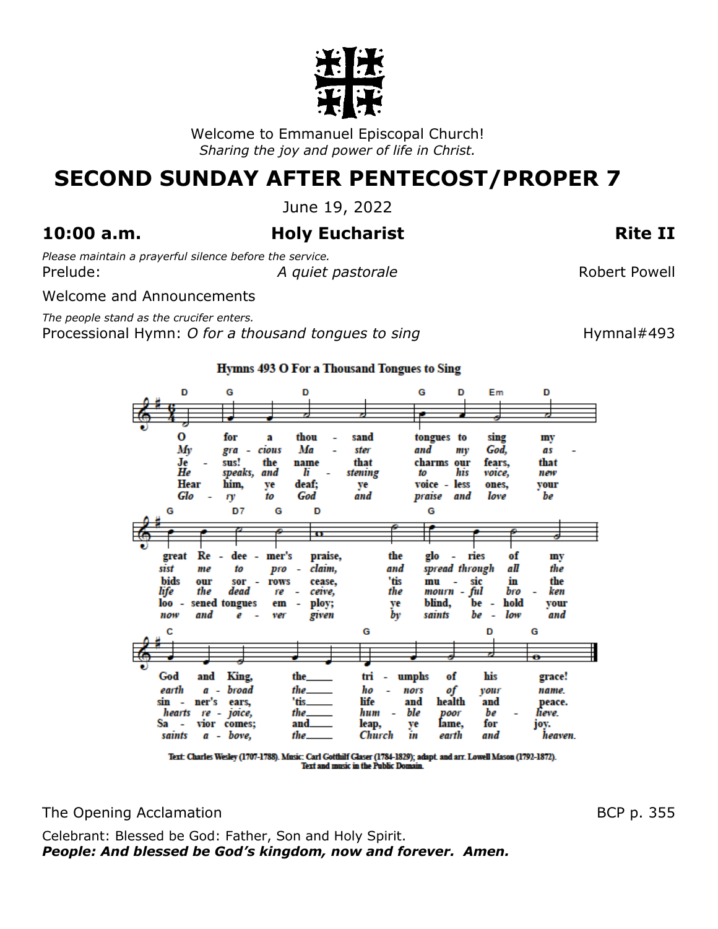

Welcome to Emmanuel Episcopal Church! *Sharing the joy and power of life in Christ.*

# **SECOND SUNDAY AFTER PENTECOST/PROPER 7**

June 19, 2022

# **10:00 a.m. Holy Eucharist Rite II**

*Please maintain a prayerful silence before the service.*  Prelude: **A** quiet pastorale **Robert Powell** 

Welcome and Announcements

*The people stand as the crucifer enters.* Processional Hymn: *O for a thousand tongues to sing* example and Hymnal#493

### Hymns 493 O For a Thousand Tongues to Sing Ĝ n Em D n D G O for thou sand tongues to sing my ā Mv Ma gra ÷. cious ster and  $mv$ God. as Je sus! the name that charms our fears. that He speaks, and li. steming to his voice, new Hear him. deaf: voice - less ones, your ye ye Glo be to God and praise and love ry D7 G D G G  $\mathbf{a}$ Re dee the glo of mer's praise, ries my great sist aЩ the claim, and spread through me to pro bids our 'tis the  $mu$ sic in sor rows cease, life the dead re ceive, the mourn ful bro ken blind, hold loo sened tongues  $em$ ploy; ve be **vour**  $\sim$ bv low and saints be and now e ver given  $\overline{\phantom{a}}$ ċ G D G God tri and King, the umphs of his grace!  $\sim$ earth a - broad the. ho nors your name. of sin - ner's ears, 'tis life health and and peace. hearts re - joice, the hum ble be lieve. poor Sa - vior comes; and. leap, ye lame, for joy. the heaven. saints Church earth and a - bove. îп

Text: Charles Wesley (1707-1788). Music: Carl Gotthilf Glaser (1784-1829); adapt. and arr. Lowell Mason (1792-1872). Text and music in the Public Domain.

The Opening Acclamation **BCP** p. 355

Celebrant: Blessed be God: Father, Son and Holy Spirit. *People: And blessed be God's kingdom, now and forever. Amen.*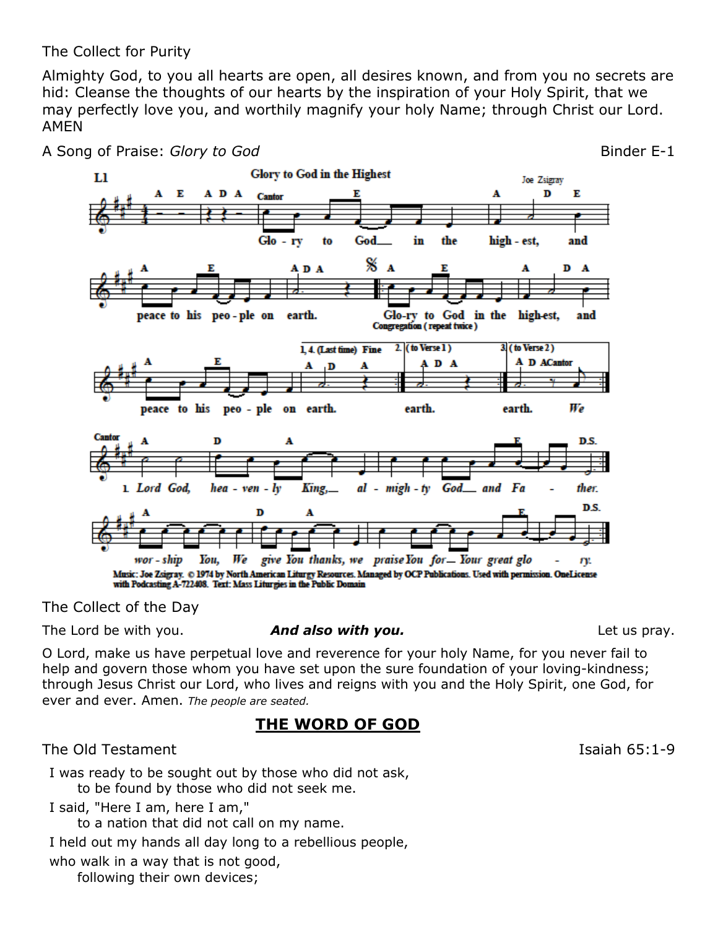The Collect for Purity

Almighty God, to you all hearts are open, all desires known, and from you no secrets are hid: Cleanse the thoughts of our hearts by the inspiration of your Holy Spirit, that we may perfectly love you, and worthily magnify your holy Name; through Christ our Lord. AMEN



The Collect of the Day

The Lord be with you. *And also with you.* Let us pray.

O Lord, make us have perpetual love and reverence for your holy Name, for you never fail to help and govern those whom you have set upon the sure foundation of your loving-kindness; through Jesus Christ our Lord, who lives and reigns with you and the Holy Spirit, one God, for ever and ever. Amen. *The people are seated.*

# **THE WORD OF GOD**

The Old Testament Isaiah 65:1-9

I was ready to be sought out by those who did not ask, to be found by those who did not seek me.

I said, "Here I am, here I am,"

to a nation that did not call on my name.

I held out my hands all day long to a rebellious people,

who walk in a way that is not good,

following their own devices;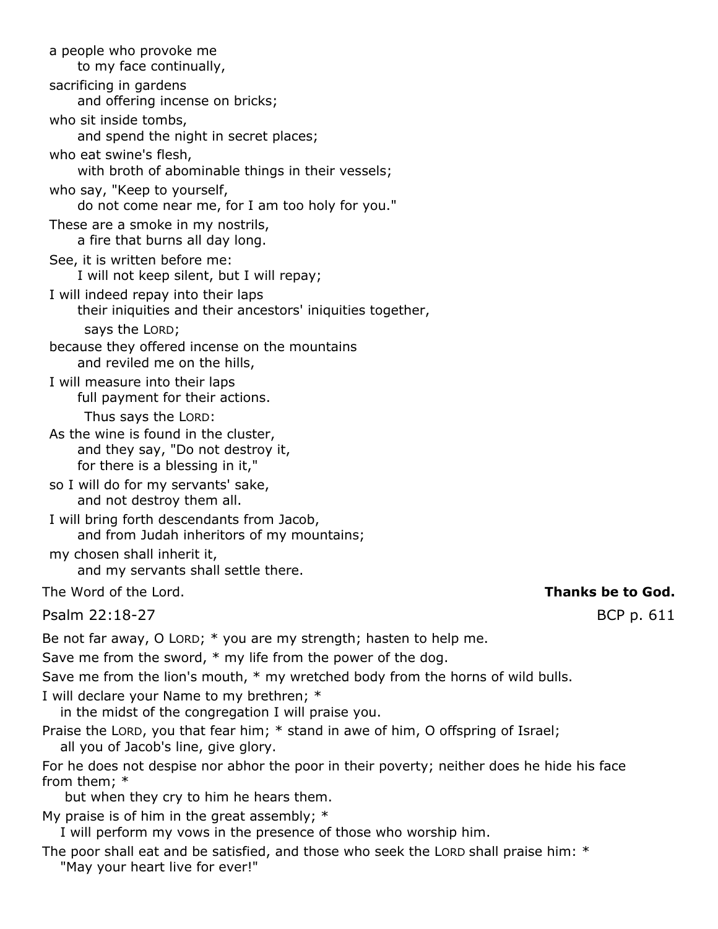a people who provoke me to my face continually, sacrificing in gardens and offering incense on bricks; who sit inside tombs, and spend the night in secret places; who eat swine's flesh, with broth of abominable things in their vessels; who say, "Keep to yourself, do not come near me, for I am too holy for you." These are a smoke in my nostrils, a fire that burns all day long. See, it is written before me: I will not keep silent, but I will repay; I will indeed repay into their laps their iniquities and their ancestors' iniquities together, says the LORD; because they offered incense on the mountains and reviled me on the hills, I will measure into their laps full payment for their actions. Thus says the LORD: As the wine is found in the cluster, and they say, "Do not destroy it, for there is a blessing in it," so I will do for my servants' sake, and not destroy them all. I will bring forth descendants from Jacob, and from Judah inheritors of my mountains; my chosen shall inherit it, and my servants shall settle there. The Word of the Lord. **Thanks be to God.** Psalm 22:18-27 BCP p. 611 Be not far away, O LORD; \* you are my strength; hasten to help me. Save me from the sword,  $*$  my life from the power of the dog. Save me from the lion's mouth, \* my wretched body from the horns of wild bulls. I will declare your Name to my brethren; \* in the midst of the congregation I will praise you. Praise the LORD, you that fear him; \* stand in awe of him, O offspring of Israel; all you of Jacob's line, give glory. For he does not despise nor abhor the poor in their poverty; neither does he hide his face from them; \* but when they cry to him he hears them. My praise is of him in the great assembly;  $*$  I will perform my vows in the presence of those who worship him. The poor shall eat and be satisfied, and those who seek the LORD shall praise him: \* "May your heart live for ever!"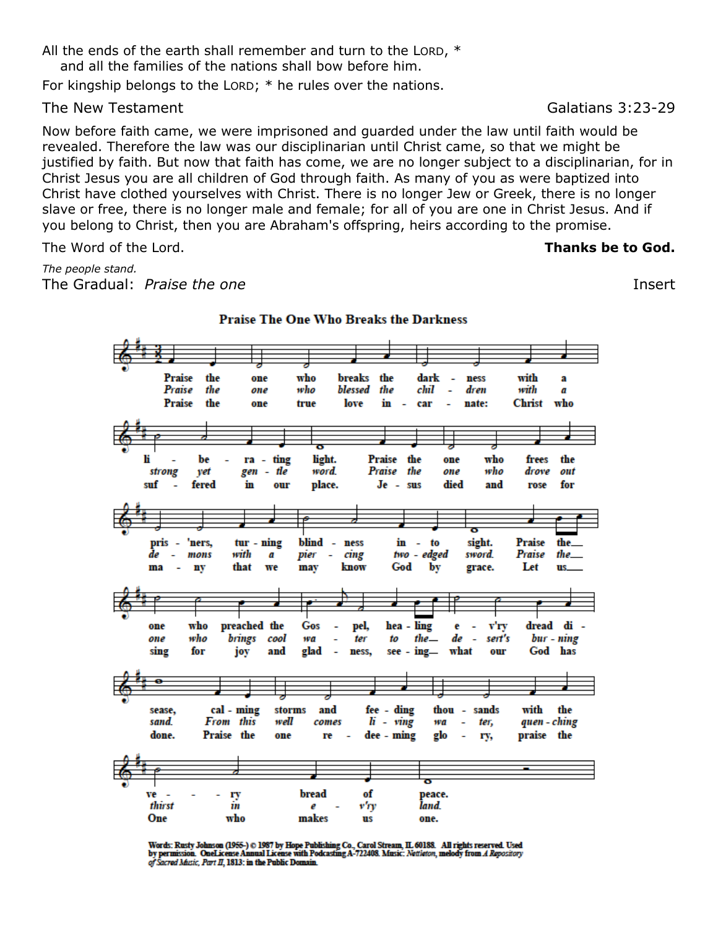All the ends of the earth shall remember and turn to the LORD, \* and all the families of the nations shall bow before him.

For kingship belongs to the LORD; \* he rules over the nations.

### The New Testament Galatians 3:23-29

Now before faith came, we were imprisoned and guarded under the law until faith would be revealed. Therefore the law was our disciplinarian until Christ came, so that we might be justified by faith. But now that faith has come, we are no longer subject to a disciplinarian, for in Christ Jesus you are all children of God through faith. As many of you as were baptized into Christ have clothed yourselves with Christ. There is no longer Jew or Greek, there is no longer slave or free, there is no longer male and female; for all of you are one in Christ Jesus. And if you belong to Christ, then you are Abraham's offspring, heirs according to the promise.

The Word of the Lord. **Thanks be to God.**

*The people stand.* The Gradual: *Praise the one* Insert



**Praise The One Who Breaks the Darkness** 

Words: Rusty Johnson (1955-) © 1987 by Hope Publishing Co., Carol Stream, IL 60188. All rights reserved. Used<br>by permission. OneLicense Annual License with Podcasting A-722408. Music: Nattleton, melody from A Repository of Sacred Music, Part II, 1813: in the Public Domain.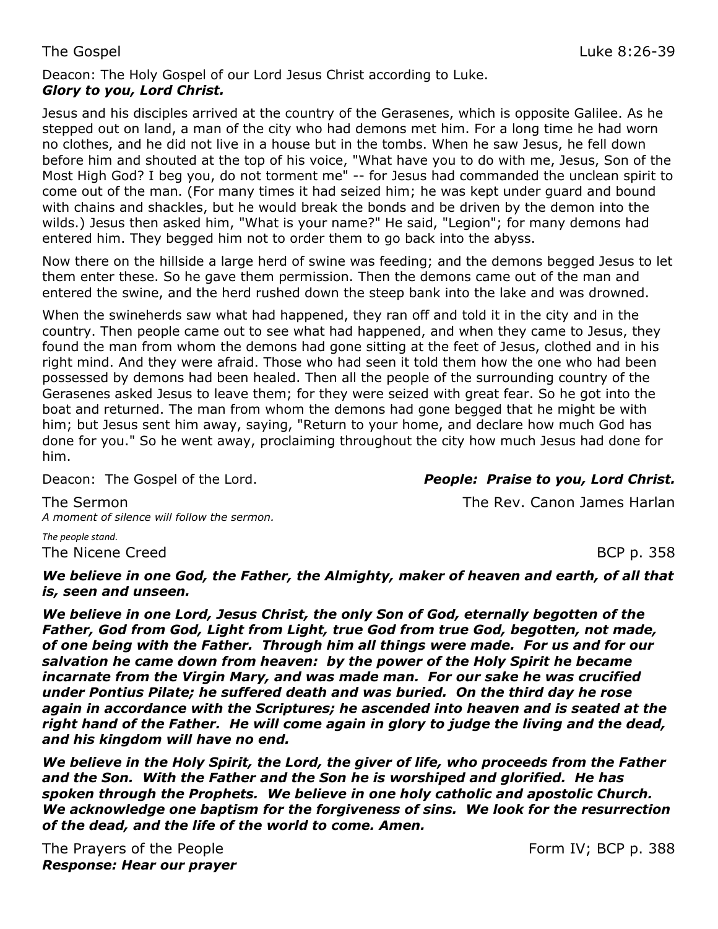Deacon: The Holy Gospel of our Lord Jesus Christ according to Luke. *Glory to you, Lord Christ.*

Jesus and his disciples arrived at the country of the Gerasenes, which is opposite Galilee. As he stepped out on land, a man of the city who had demons met him. For a long time he had worn no clothes, and he did not live in a house but in the tombs. When he saw Jesus, he fell down before him and shouted at the top of his voice, "What have you to do with me, Jesus, Son of the Most High God? I beg you, do not torment me" -- for Jesus had commanded the unclean spirit to come out of the man. (For many times it had seized him; he was kept under guard and bound with chains and shackles, but he would break the bonds and be driven by the demon into the wilds.) Jesus then asked him, "What is your name?" He said, "Legion"; for many demons had entered him. They begged him not to order them to go back into the abyss.

Now there on the hillside a large herd of swine was feeding; and the demons begged Jesus to let them enter these. So he gave them permission. Then the demons came out of the man and entered the swine, and the herd rushed down the steep bank into the lake and was drowned.

When the swineherds saw what had happened, they ran off and told it in the city and in the country. Then people came out to see what had happened, and when they came to Jesus, they found the man from whom the demons had gone sitting at the feet of Jesus, clothed and in his right mind. And they were afraid. Those who had seen it told them how the one who had been possessed by demons had been healed. Then all the people of the surrounding country of the Gerasenes asked Jesus to leave them; for they were seized with great fear. So he got into the boat and returned. The man from whom the demons had gone begged that he might be with him; but Jesus sent him away, saying, "Return to your home, and declare how much God has done for you." So he went away, proclaiming throughout the city how much Jesus had done for him.

Deacon: The Gospel of the Lord. **People: Praise to you, Lord Christ.** 

The Sermon The Rev. Canon James Harlan *A moment of silence will follow the sermon.*

*The people stand.* The Nicene Creed **BCP** p. 358

*We believe in one God, the Father, the Almighty, maker of heaven and earth, of all that is, seen and unseen.*

*We believe in one Lord, Jesus Christ, the only Son of God, eternally begotten of the Father, God from God, Light from Light, true God from true God, begotten, not made, of one being with the Father. Through him all things were made. For us and for our salvation he came down from heaven: by the power of the Holy Spirit he became incarnate from the Virgin Mary, and was made man. For our sake he was crucified under Pontius Pilate; he suffered death and was buried. On the third day he rose again in accordance with the Scriptures; he ascended into heaven and is seated at the right hand of the Father. He will come again in glory to judge the living and the dead, and his kingdom will have no end.* 

*We believe in the Holy Spirit, the Lord, the giver of life, who proceeds from the Father and the Son. With the Father and the Son he is worshiped and glorified. He has spoken through the Prophets. We believe in one holy catholic and apostolic Church. We acknowledge one baptism for the forgiveness of sins. We look for the resurrection of the dead, and the life of the world to come. Amen.* 

The Prayers of the People Form IV; BCP p. 388 *Response: Hear our prayer*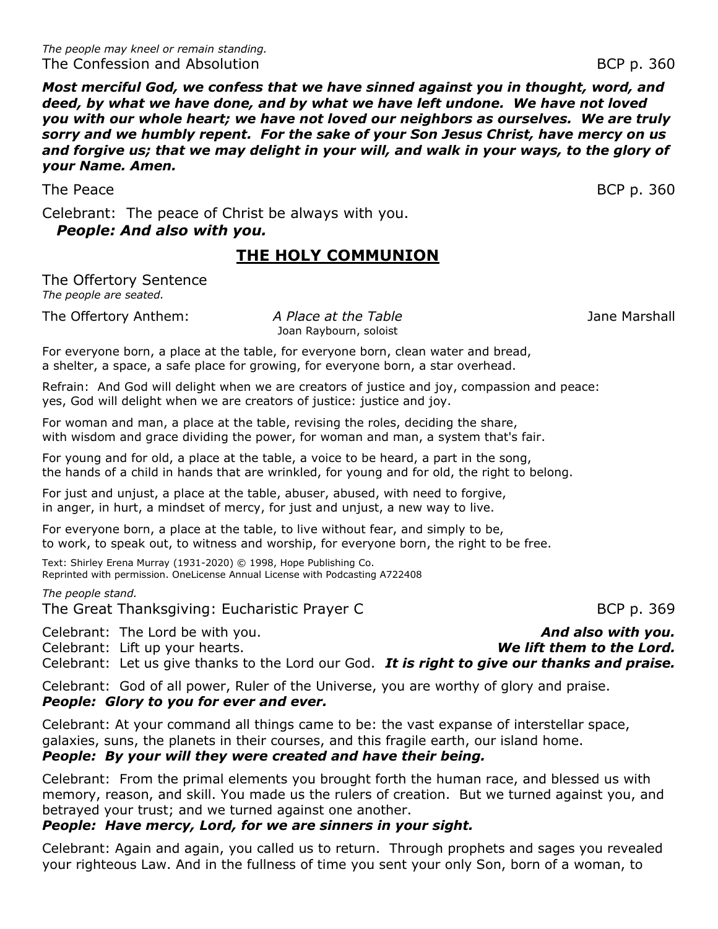*The people may kneel or remain standing.* The Confession and Absolution **BCP** p. 360

*Most merciful God, we confess that we have sinned against you in thought, word, and deed, by what we have done, and by what we have left undone. We have not loved you with our whole heart; we have not loved our neighbors as ourselves. We are truly sorry and we humbly repent. For the sake of your Son Jesus Christ, have mercy on us and forgive us; that we may delight in your will, and walk in your ways, to the glory of your Name. Amen.* 

The Peace BCP p. 360

Celebrant: The peace of Christ be always with you.  *People: And also with you.*

### **THE HOLY COMMUNION**

The Offertory Sentence *The people are seated.*

The Offertory Anthem: *A Place at the Table* Jane Marshall

Joan Raybourn, soloist

For everyone born, a place at the table, for everyone born, clean water and bread, a shelter, a space, a safe place for growing, for everyone born, a star overhead.

Refrain: And God will delight when we are creators of justice and joy, compassion and peace: yes, God will delight when we are creators of justice: justice and joy.

For woman and man, a place at the table, revising the roles, deciding the share, with wisdom and grace dividing the power, for woman and man, a system that's fair.

For young and for old, a place at the table, a voice to be heard, a part in the song, the hands of a child in hands that are wrinkled, for young and for old, the right to belong.

For just and unjust, a place at the table, abuser, abused, with need to forgive, in anger, in hurt, a mindset of mercy, for just and unjust, a new way to live.

For everyone born, a place at the table, to live without fear, and simply to be, to work, to speak out, to witness and worship, for everyone born, the right to be free.

Text: Shirley Erena Murray (1931-2020) © 1998, Hope Publishing Co. Reprinted with permission. OneLicense Annual License with Podcasting A722408

*The people stand.*

The Great Thanksgiving: Eucharistic Prayer C BCP p. 369

Celebrant: The Lord be with you. *And also with you.*

Celebrant: Lift up your hearts. *We lift them to the Lord.*

Celebrant: Let us give thanks to the Lord our God. *It is right to give our thanks and praise.*

Celebrant: God of all power, Ruler of the Universe, you are worthy of glory and praise. *People: Glory to you for ever and ever.*

Celebrant: At your command all things came to be: the vast expanse of interstellar space, galaxies, suns, the planets in their courses, and this fragile earth, our island home. *People: By your will they were created and have their being.*

Celebrant: From the primal elements you brought forth the human race, and blessed us with memory, reason, and skill. You made us the rulers of creation. But we turned against you, and betrayed your trust; and we turned against one another.

### *People: Have mercy, Lord, for we are sinners in your sight.*

Celebrant: Again and again, you called us to return. Through prophets and sages you revealed your righteous Law. And in the fullness of time you sent your only Son, born of a woman, to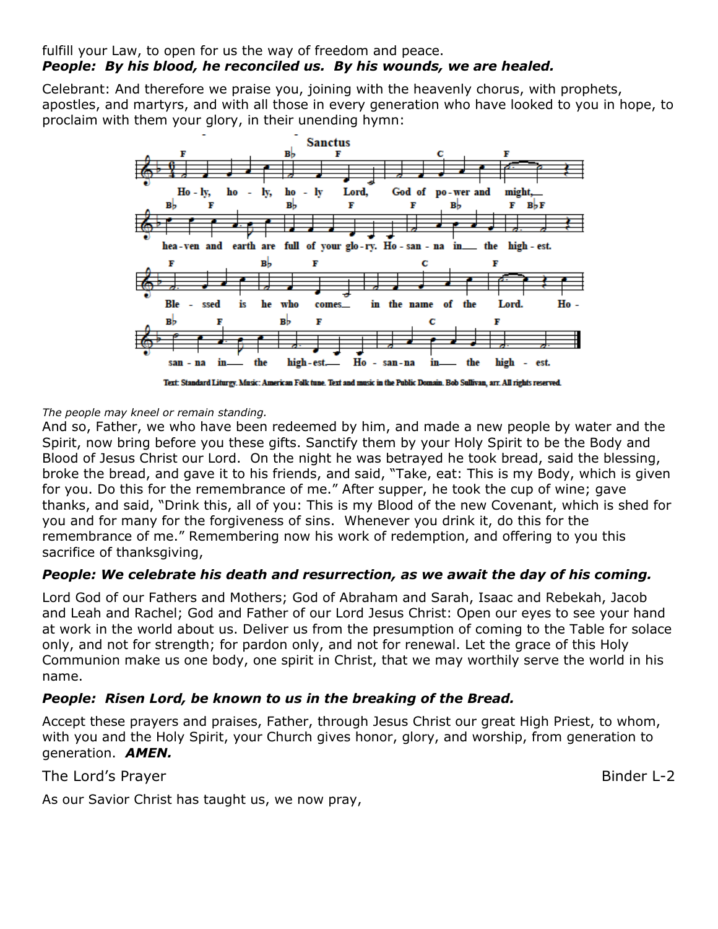### fulfill your Law, to open for us the way of freedom and peace. *People: By his blood, he reconciled us. By his wounds, we are healed.*

Celebrant: And therefore we praise you, joining with the heavenly chorus, with prophets, apostles, and martyrs, and with all those in every generation who have looked to you in hope, to proclaim with them your glory, in their unending hymn:



Text: Standard Liturgy. Music: American Folk tune. Text and music in the Public Domain. Bob Sullivan, arr. All rights reserved.

### *The people may kneel or remain standing.*

And so, Father, we who have been redeemed by him, and made a new people by water and the Spirit, now bring before you these gifts. Sanctify them by your Holy Spirit to be the Body and Blood of Jesus Christ our Lord. On the night he was betrayed he took bread, said the blessing, broke the bread, and gave it to his friends, and said, "Take, eat: This is my Body, which is given for you. Do this for the remembrance of me." After supper, he took the cup of wine; gave thanks, and said, "Drink this, all of you: This is my Blood of the new Covenant, which is shed for you and for many for the forgiveness of sins. Whenever you drink it, do this for the remembrance of me." Remembering now his work of redemption, and offering to you this sacrifice of thanksgiving,

### *People: We celebrate his death and resurrection, as we await the day of his coming.*

Lord God of our Fathers and Mothers; God of Abraham and Sarah, Isaac and Rebekah, Jacob and Leah and Rachel; God and Father of our Lord Jesus Christ: Open our eyes to see your hand at work in the world about us. Deliver us from the presumption of coming to the Table for solace only, and not for strength; for pardon only, and not for renewal. Let the grace of this Holy Communion make us one body, one spirit in Christ, that we may worthily serve the world in his name.

### *People: Risen Lord, be known to us in the breaking of the Bread.*

Accept these prayers and praises, Father, through Jesus Christ our great High Priest, to whom, with you and the Holy Spirit, your Church gives honor, glory, and worship, from generation to generation. *AMEN.* 

The Lord's Prayer Binder L-2

As our Savior Christ has taught us, we now pray,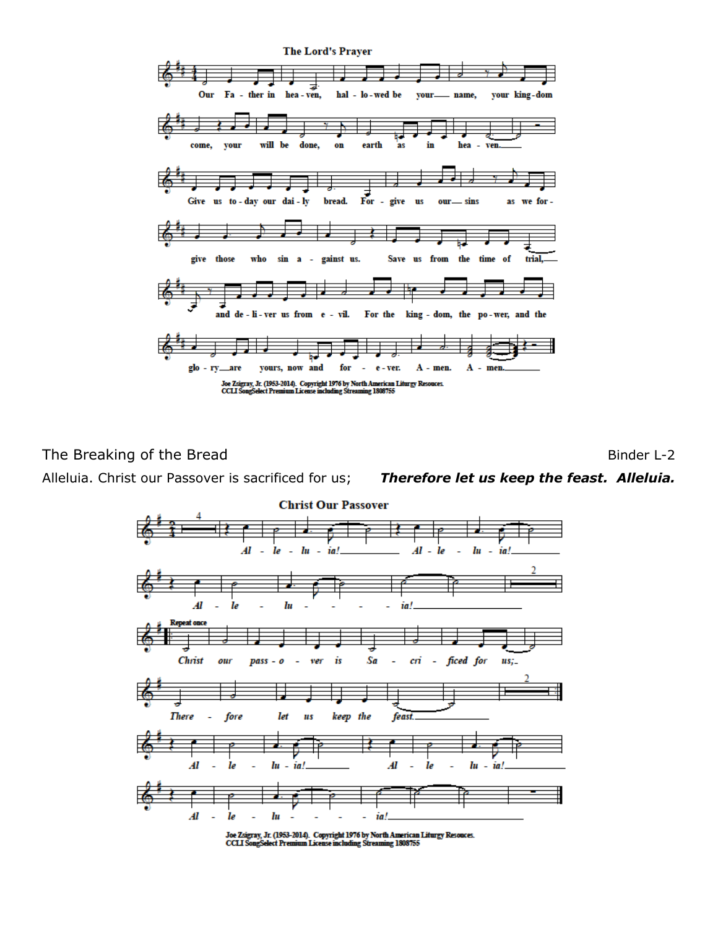

The Breaking of the Bread Binder L-2

Alleluia. Christ our Passover is sacrificed for us; *Therefore let us keep the feast. Alleluia.*



Joe Zsigray, Jr. (1953-2014). Copyright 1976 by North American Liturgy Resouces.<br>CCLI SongSelect Premium License including Streaming 1808755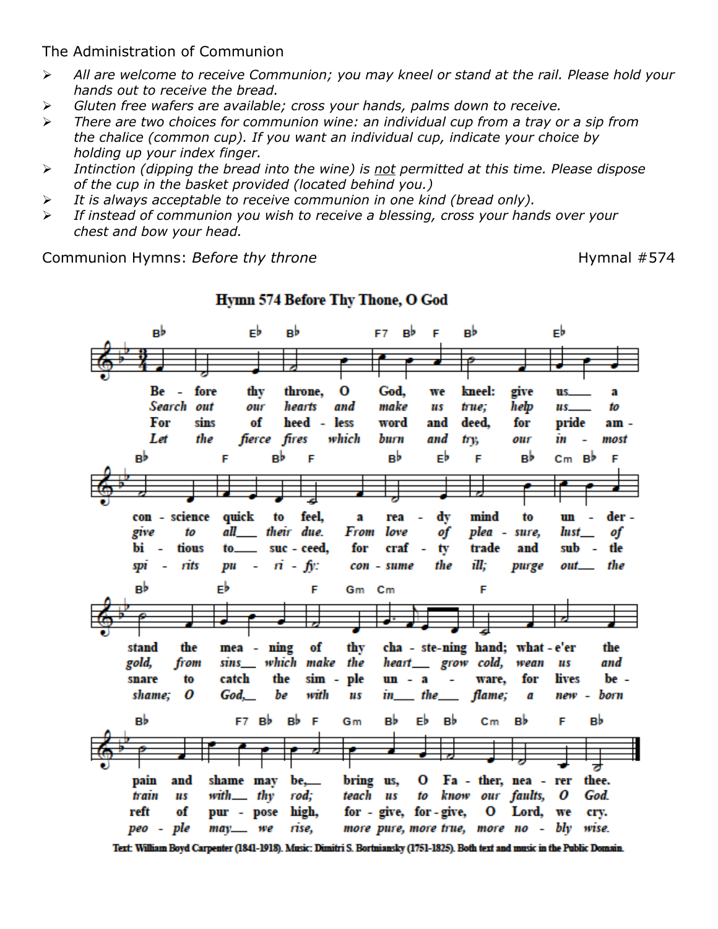The Administration of Communion

- *All are welcome to receive Communion; you may kneel or stand at the rail. Please hold your hands out to receive the bread.*
- *Gluten free wafers are available; cross your hands, palms down to receive.*
- *There are two choices for communion wine: an individual cup from a tray or a sip from the chalice (common cup). If you want an individual cup, indicate your choice by holding up your index finger.*
- *Intinction (dipping the bread into the wine) is not permitted at this time. Please dispose of the cup in the basket provided (located behind you.)*
- *It is always acceptable to receive communion in one kind (bread only).*
- *If instead of communion you wish to receive a blessing, cross your hands over your chest and bow your head.*

Communion Hymns: *Before thy throne* example the state of the Hymnal #574



### Hymn 574 Before Thy Thone, O God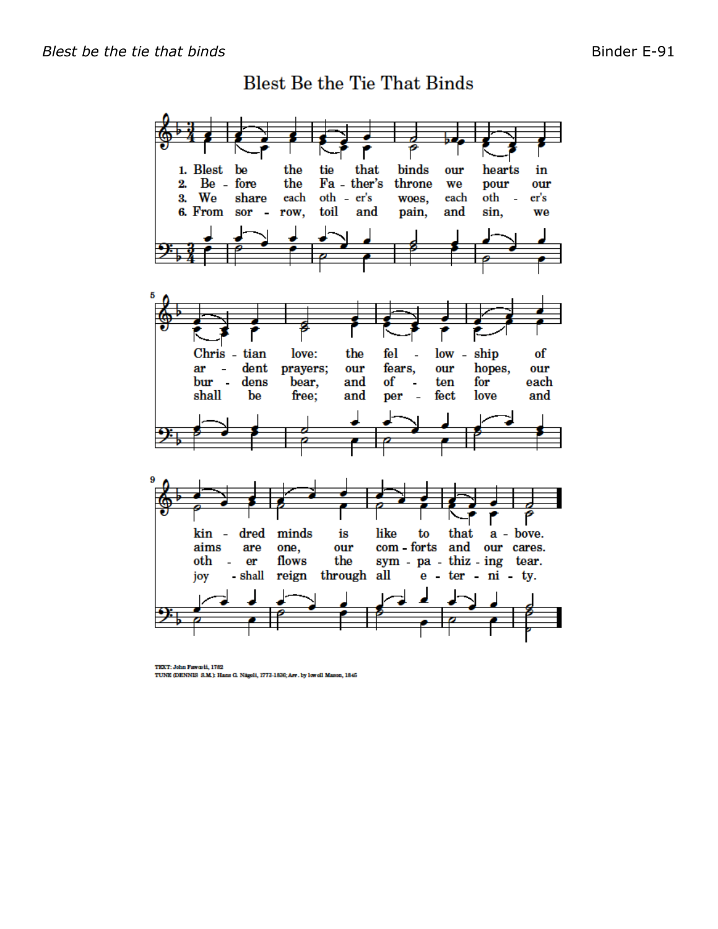# **Blest Be the Tie That Binds**



TEXT: John Faw att, 1782 TUNE (DENNIS S.M.): Hans G. Nägeli, 1773-1836; Arr. by lowell Mason, 1845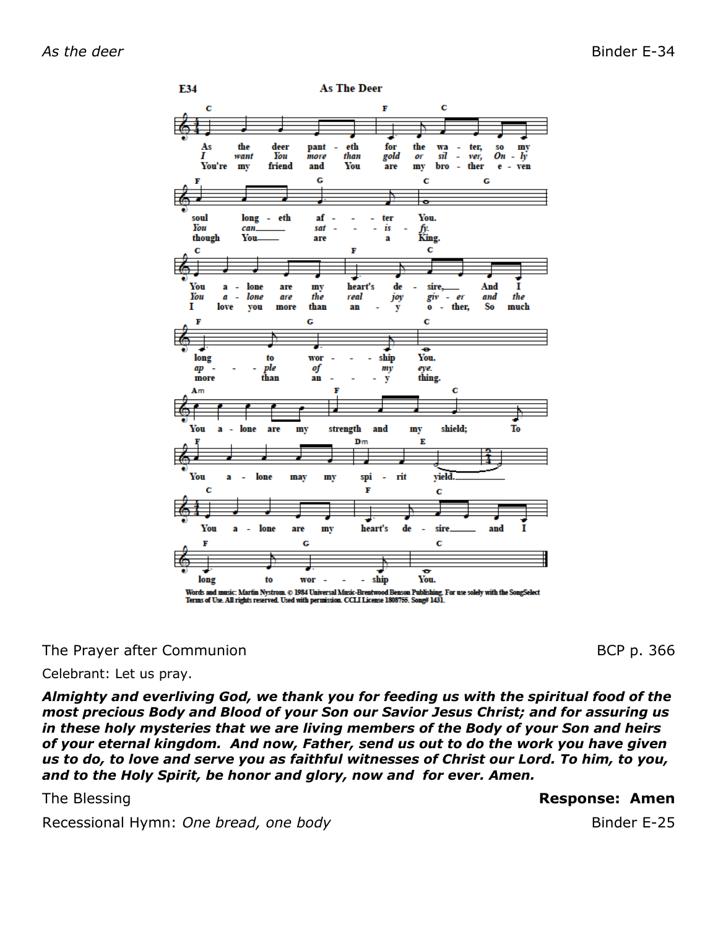

The Prayer after Communion **BCP** p. 366

Celebrant: Let us pray.

*Almighty and everliving God, we thank you for feeding us with the spiritual food of the most precious Body and Blood of your Son our Savior Jesus Christ; and for assuring us in these holy mysteries that we are living members of the Body of your Son and heirs of your eternal kingdom. And now, Father, send us out to do the work you have given us to do, to love and serve you as faithful witnesses of Christ our Lord. To him, to you, and to the Holy Spirit, be honor and glory, now and for ever. Amen.*

The Blessing **Response: Amen**

Recessional Hymn: *One bread, one body* Binder E-25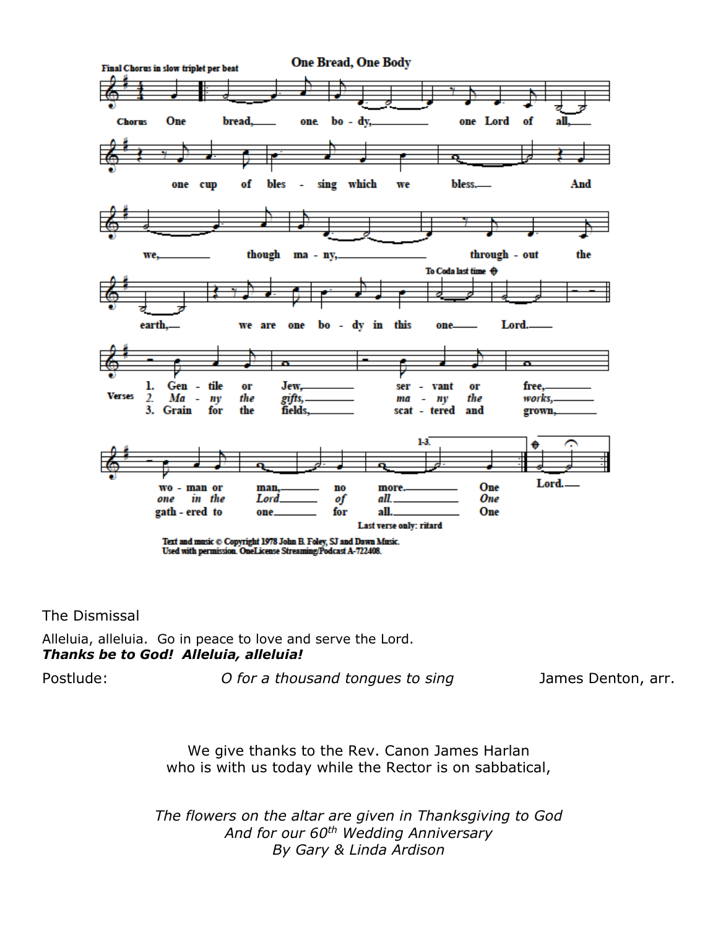

The Dismissal

Alleluia, alleluia. Go in peace to love and serve the Lord. *Thanks be to God! Alleluia, alleluia!*

Postlude: *O for a thousand tongues to sing* James Denton, arr.

We give thanks to the Rev. Canon James Harlan who is with us today while the Rector is on sabbatical,

*The flowers on the altar are given in Thanksgiving to God And for our 60th Wedding Anniversary By Gary & Linda Ardison*